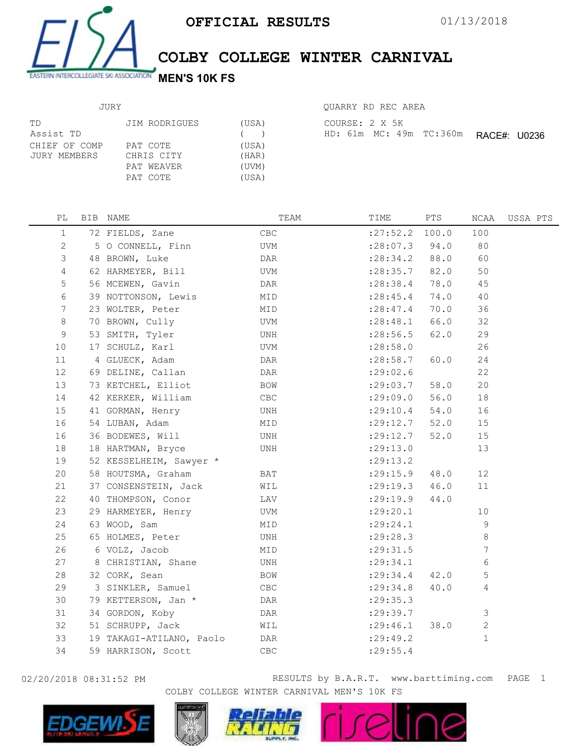

## COLBY COLLEGE WINTER CARNIVAL

## JURY

| TD<br>Assist TD               | JIM RODRIGUES                                    | (USA)<br>$($ )                   | COURSE: 2 X 5K<br>HD: 61m MC: 49m TC:360m<br>RACE#: U0236 |
|-------------------------------|--------------------------------------------------|----------------------------------|-----------------------------------------------------------|
| CHIEF OF COMP<br>JURY MEMBERS | PAT COTE<br>CHRIS CITY<br>PAT WEAVER<br>PAT COTE | (USA)<br>(HAR)<br>(UVM)<br>(USA) |                                                           |

| OUARRY RD REC AREA |  |  |                                                |  |
|--------------------|--|--|------------------------------------------------|--|
| COURSE: 2 X 5K     |  |  |                                                |  |
|                    |  |  | $HD: 61m$ $MC: 49m$ $TC: 360m$ $DACF4: 110226$ |  |

| РL              | BIB NAME                 | TEAM           | TIME             | PTS    | NCAA           | USSA PTS |
|-----------------|--------------------------|----------------|------------------|--------|----------------|----------|
| $\mathbf{1}$    | 72 FIELDS, Zane          | CBC            | : 27:52.2 100.0  |        | 100            |          |
| 2               | 5 O CONNELL, Finn        | UVM            | : 28:07.3        | 94.0   | 80             |          |
| 3               | 48 BROWN, Luke           | DAR            | $: 28:34.2$ 88.0 |        | 60             |          |
| 4               | 62 HARMEYER, Bill        | UVM            | $: 28:35.7$ 82.0 |        | 50             |          |
| $\mathsf S$     | 56 MCEWEN, Gavin         | DAR            | : 28:38.4        | 78.0   | 45             |          |
| 6               | 39 NOTTONSON, Lewis      | MID            | : 28: 45.4       | 74.0   | 40             |          |
| $7\phantom{.0}$ | 23 WOLTER, Peter         | MID            | : 28: 47.4       | 70.0   | 36             |          |
| 8               | 70 BROWN, Cully          | UVM            | : 28:48.1        | 66.0   | 32             |          |
| 9               | 53 SMITH, Tyler          | UNH            | : 28:56.5        | 62.0   | 29             |          |
| 10              | 17 SCHULZ, Karl          | UVM            | : 28:58.0        |        | 26             |          |
| 11              | 4 GLUECK, Adam           | DAR            | : 28:58.7        | 60.0   | 24             |          |
| 12              | 69 DELINE, Callan        | DAR            | : 29:02.6        |        | 22             |          |
| 13              | 73 KETCHEL, Elliot       | BOW            | : 29:03.7        | 58.0   | 20             |          |
| 14              | 42 KERKER, William       | CBC            | :29:09.0         | 56.0   | 18             |          |
| 15              | 41 GORMAN, Henry         | UNH            | : 29:10.4        | $54.0$ | 16             |          |
| 16              | 54 LUBAN, Adam           | MID            | : 29:12.7        | 52.0   | 15             |          |
| 16              | 36 BODEWES, Will         | UNH            | : 29:12.7        | 52.0   | 15             |          |
| 18              | 18 HARTMAN, Bryce        | UNH            | : 29:13.0        |        | 13             |          |
| 19              | 52 KESSELHEIM, Sawyer *  |                | : 29:13.2        |        |                |          |
| 20              | 58 HOUTSMA, Graham       | BAT            | $:29:15.9$ 48.0  |        | 12             |          |
| 21              | 37 CONSENSTEIN, Jack     | WIL            | : 29:19.3 46.0   |        | 11             |          |
| 22              | 40 THOMPSON, Conor       | LAV            | : 29:19.9        | 44.0   |                |          |
| 23              | 29 HARMEYER, Henry       | UVM            | : 29: 20.1       |        | 10             |          |
| 24              | 63 WOOD, Sam             | MID            | : 29: 24.1       |        | 9              |          |
| 25              | 65 HOLMES, Peter         | UNH            | : 29:28.3        |        | 8              |          |
| 26              | 6 VOLZ, Jacob            | MID            | : 29:31.5        |        | 7              |          |
| 27              | 8 CHRISTIAN, Shane       | UNH            | : 29:34.1        |        | 6              |          |
| 28              | 32 CORK, Sean            | BOW            | : 29:34.4        | 42.0   | 5              |          |
| 29              | 3 SINKLER, Samuel        | CBC            | : 29:34.8        | 40.0   | 4              |          |
| 30              | 79 KETTERSON, Jan *      | DAR            | : 29:35.3        |        |                |          |
| 31              | 34 GORDON, Koby          | DAR            | : 29:39.7        |        | $\mathfrak{Z}$ |          |
| 32              | 51 SCHRUPP, Jack         | WIL            | : 29:46.1        | 38.0   | $\mathbf{2}$   |          |
| 33              | 19 TAKAGI-ATILANO, Paolo | DAR            | : 29: 49.2       |        | $\mathbf{1}$   |          |
| 34              | 59 HARRISON, Scott       | $\mathsf{CBC}$ | : 29: 55.4       |        |                |          |
|                 |                          |                |                  |        |                |          |



02/20/2018 08:31:52 PM **RESULTS** by B.A.R.T. www.barttiming.com PAGE 1 COLBY COLLEGE WINTER CARNIVAL MEN'S 10K FS

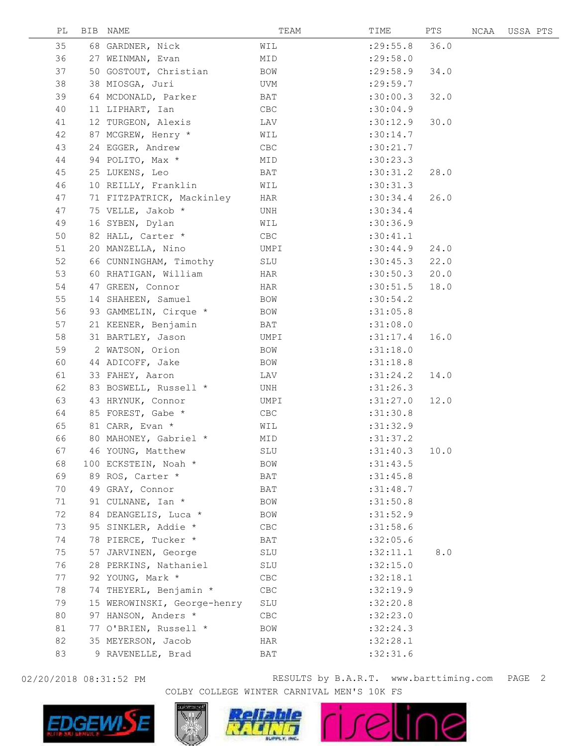| PL | BIB NAME                    | TEAM       | TIME      | PTS  | NCAA | USSA PTS |  |
|----|-----------------------------|------------|-----------|------|------|----------|--|
| 35 | 68 GARDNER, Nick            | WIL        | : 29:55.8 | 36.0 |      |          |  |
| 36 | 27 WEINMAN, Evan            | MID        | : 29:58.0 |      |      |          |  |
| 37 | 50 GOSTOUT, Christian       | BOW        | : 29:58.9 | 34.0 |      |          |  |
| 38 | 38 MIOSGA, Juri             | UVM        | : 29:59.7 |      |      |          |  |
| 39 | 64 MCDONALD, Parker         | BAT        | :30:00.3  | 32.0 |      |          |  |
| 40 | 11 LIPHART, Ian             | CBC        | :30:04.9  |      |      |          |  |
| 41 | 12 TURGEON, Alexis          | LAV        | :30:12.9  | 30.0 |      |          |  |
| 42 | 87 MCGREW, Henry *          | WIL        | :30:14.7  |      |      |          |  |
| 43 | 24 EGGER, Andrew            | CBC        | :30:21.7  |      |      |          |  |
| 44 | 94 POLITO, Max *            | MID        | :30:23.3  |      |      |          |  |
| 45 | 25 LUKENS, Leo              | BAT        | :30:31.2  | 28.0 |      |          |  |
| 46 | 10 REILLY, Franklin         | WIL        | :30:31.3  |      |      |          |  |
| 47 | 71 FITZPATRICK, Mackinley   | HAR        | :30:34.4  | 26.0 |      |          |  |
| 47 | 75 VELLE, Jakob *           | UNH        | :30:34.4  |      |      |          |  |
| 49 | 16 SYBEN, Dylan             | WIL        | :30:36.9  |      |      |          |  |
| 50 | 82 HALL, Carter *           | CBC        | :30:41.1  |      |      |          |  |
| 51 | 20 MANZELLA, Nino           | UMPI       | :30:44.9  | 24.0 |      |          |  |
| 52 | 66 CUNNINGHAM, Timothy      | SLU        | :30:45.3  | 22.0 |      |          |  |
| 53 | 60 RHATIGAN, William        | HAR        | :30:50.3  | 20.0 |      |          |  |
| 54 | 47 GREEN, Connor            | HAR        | :30:51.5  | 18.0 |      |          |  |
| 55 | 14 SHAHEEN, Samuel          | BOW        | :30:54.2  |      |      |          |  |
| 56 | 93 GAMMELIN, Cirque *       | BOW        | :31:05.8  |      |      |          |  |
| 57 | 21 KEENER, Benjamin         | BAT        | :31:08.0  |      |      |          |  |
| 58 | 31 BARTLEY, Jason           | UMPI       | :31:17.4  | 16.0 |      |          |  |
| 59 | 2 WATSON, Orion             | BOW        | :31:18.0  |      |      |          |  |
| 60 | 44 ADICOFF, Jake            | BOW        | :31:18.8  |      |      |          |  |
| 61 | 33 FAHEY, Aaron             | LAV        | :31:24.2  | 14.0 |      |          |  |
| 62 | 83 BOSWELL, Russell *       | UNH        | :31:26.3  |      |      |          |  |
| 63 | 43 HRYNUK, Connor           | UMPI       | :31:27.0  | 12.0 |      |          |  |
| 64 | 85 FOREST, Gabe *           | CBC        | :31:30.8  |      |      |          |  |
| 65 | 81 CARR, Evan *             | WIL        | :31:32.9  |      |      |          |  |
| 66 | 80 MAHONEY, Gabriel *       | MID        | :31:37.2  |      |      |          |  |
| 67 | 46 YOUNG, Matthew           | SLU        | :31:40.3  | 10.0 |      |          |  |
| 68 | 100 ECKSTEIN, Noah *        | <b>BOM</b> | :31:43.5  |      |      |          |  |
| 69 | 89 ROS, Carter *            | BAT        | :31:45.8  |      |      |          |  |
| 70 | 49 GRAY, Connor             | BAT        | :31:48.7  |      |      |          |  |
| 71 | 91 CULNANE, Ian *           | <b>BOW</b> | :31:50.8  |      |      |          |  |
| 72 | 84 DEANGELIS, Luca *        | <b>BOW</b> | :31:52.9  |      |      |          |  |
| 73 | 95 SINKLER, Addie *         | CBC        | :31:58.6  |      |      |          |  |
| 74 | 78 PIERCE, Tucker *         | BAT        | :32:05.6  |      |      |          |  |
| 75 | 57 JARVINEN, George         | SLU        | :32:11.1  | 8.0  |      |          |  |
| 76 | 28 PERKINS, Nathaniel       | SLU        | :32:15.0  |      |      |          |  |
| 77 | 92 YOUNG, Mark *            | CBC        | :32:18.1  |      |      |          |  |
| 78 | 74 THEYERL, Benjamin *      | CBC        | :32:19.9  |      |      |          |  |
| 79 | 15 WEROWINSKI, George-henry | SLU        | :32:20.8  |      |      |          |  |
| 80 | 97 HANSON, Anders *         | CBC        | :32:23.0  |      |      |          |  |
| 81 | 77 O'BRIEN, Russell *       | BOW        | :32:24.3  |      |      |          |  |
| 82 | 35 MEYERSON, Jacob          | HAR        | :32:28.1  |      |      |          |  |
| 83 | 9 RAVENELLE, Brad           | BAT        | :32:31.6  |      |      |          |  |



02/20/2018 08:31:52 PM **RESULTS** by B.A.R.T. www.barttiming.com PAGE 2 COLBY COLLEGE WINTER CARNIVAL MEN'S 10K FS